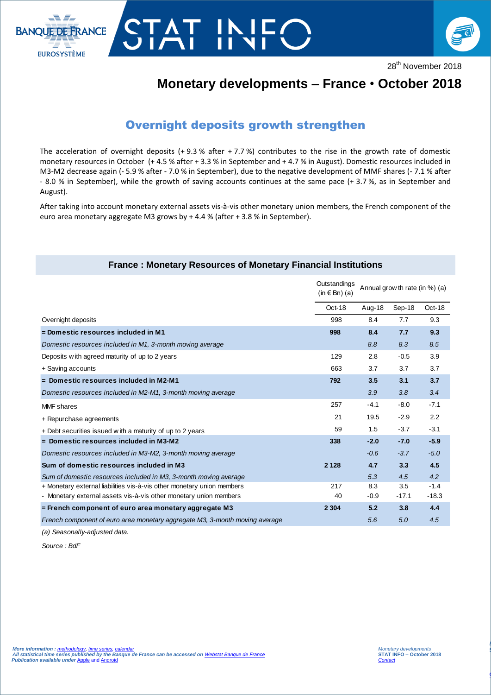



28<sup>th</sup> November 2018

## **Monetary developments – France** • **October 2018**

## Overnight deposits growth strengthen

TAT INI

The acceleration of overnight deposits  $(+ 9.3 %$  after  $+ 7.7 %$ ) contributes to the rise in the growth rate of domestic monetary resources in October (+ 4.5 % after + 3.3 % in September and + 4.7 % in August). Domestic resources included in M3-M2 decrease again (- 5.9 % after - 7.0 % in September), due to the negative development of MMF shares (- 7.1 % after - 8.0 % in September), while the growth of saving accounts continues at the same pace (+ 3.7 %, as in September and August).

After taking into account monetary external assets vis-à-vis other monetary union members, the French component of the euro area monetary aggregate M3 grows by + 4.4 % (after + 3.8 % in September).

| <b>France: Monetary Resources of Monetary Financial Institutions</b> |
|----------------------------------------------------------------------|
|----------------------------------------------------------------------|

| <b>France: Monetary Resources of Monetary Financial Institutions</b>        |                                            |                                |         |         |  |
|-----------------------------------------------------------------------------|--------------------------------------------|--------------------------------|---------|---------|--|
|                                                                             | Outstandings<br>$(in \in \mathsf{Bn})$ (a) | Annual grow th rate (in %) (a) |         |         |  |
|                                                                             | Oct-18                                     | Aug-18                         | Sep-18  | Oct-18  |  |
| Overnight deposits                                                          | 998                                        | 8.4                            | 7.7     | 9.3     |  |
| = Domestic resources included in M1                                         | 998                                        | 8.4                            | 7.7     | 9.3     |  |
| Domestic resources included in M1, 3-month moving average                   |                                            | 8.8                            | 8.3     | 8.5     |  |
| Deposits with agreed maturity of up to 2 years                              | 129                                        | 2.8                            | $-0.5$  | 3.9     |  |
| + Saving accounts                                                           | 663                                        | 3.7                            | 3.7     | 3.7     |  |
| = Domestic resources included in M2-M1                                      | 792                                        | 3.5                            | 3.1     | 3.7     |  |
| Domestic resources included in M2-M1, 3-month moving average                |                                            | 3.9                            | 3.8     | 3.4     |  |
| <b>MMF</b> shares                                                           | 257                                        | $-4.1$                         | $-8.0$  | $-7.1$  |  |
| + Repurchase agreements                                                     | 21                                         | 19.5                           | $-2.9$  | 2.2     |  |
| + Debt securities issued with a maturity of up to 2 years                   | 59                                         | 1.5                            | $-3.7$  | $-3.1$  |  |
| = Domestic resources included in M3-M2                                      | 338                                        | $-2.0$                         | $-7.0$  | $-5.9$  |  |
| Domestic resources included in M3-M2, 3-month moving average                |                                            | $-0.6$                         | $-3.7$  | $-5.0$  |  |
| Sum of domestic resources included in M3                                    | 2 1 2 8                                    | 4.7                            | 3.3     | 4.5     |  |
| Sum of domestic resources included in M3, 3-month moving average            |                                            | 5.3                            | 4.5     | 4.2     |  |
| + Monetary external liabilities vis-à-vis other monetary union members      | 217                                        | 8.3                            | 3.5     | $-1.4$  |  |
| - Monetary external assets vis-à-vis other monetary union members           | 40                                         | $-0.9$                         | $-17.1$ | $-18.3$ |  |
| $=$ French component of euro area monetary aggregate M3                     | 2 3 0 4                                    | 5.2                            | 3.8     | 4.4     |  |
| French component of euro area monetary aggregate M3, 3-month moving average |                                            | 5.6                            | 5.0     | 4.5     |  |
|                                                                             |                                            |                                |         |         |  |

*(a) Seasonally-adjusted data.*

*Source : BdF*

I

*La balance des paiements*  **STAT INFO – novembre 2016**

*[Contact Stat Info Balance des Paiements](mailto:1562-CENTRAL-UT@banque-france.fr?subject=[Support%20Statistique]%20Balance%20des%20paiements)*